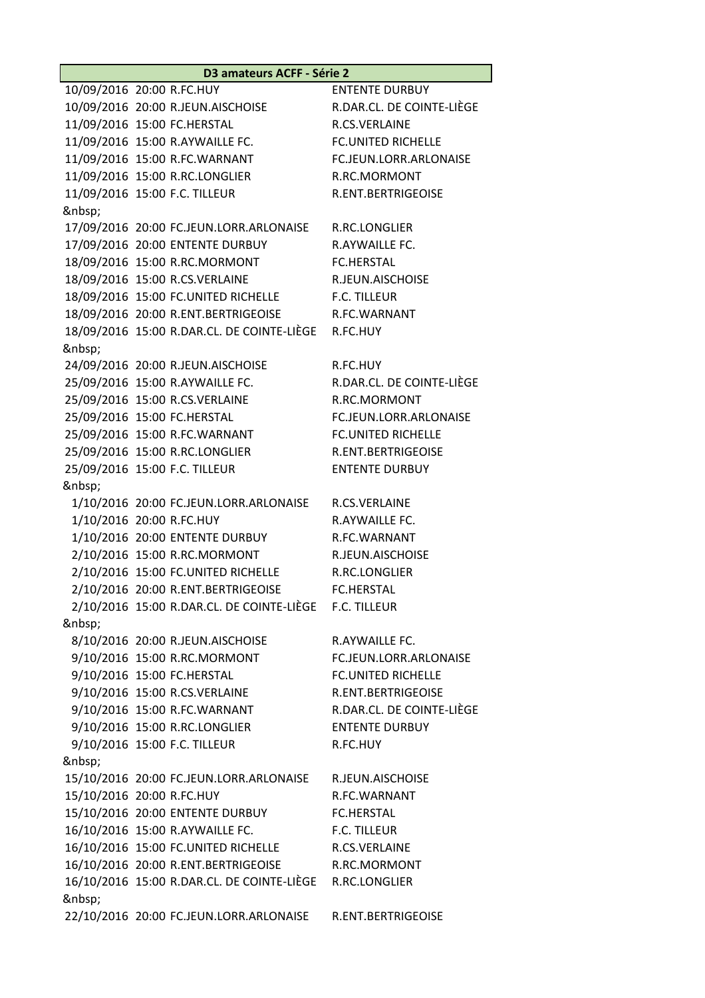**D3 amateurs ACFF - Série 2**

10/09/2016 20:00 R.FC.HUY ENTENTE DURBUY 10/09/2016 20:00 R.JEUN.AISCHOISE R.DAR.CL. DE COINTE-LIÈGE 11/09/2016 15:00 FC.HERSTAL R.CS.VERLAINE 11/09/2016 15:00 R.AYWAILLE FC. FC.UNITED RICHELLE 11/09/2016 15:00 R.FC.WARNANT FC.JEUN.LORR.ARLONAISE 11/09/2016 15:00 R.RC.LONGLIER R.RC.MORMONT 11/09/2016 15:00 F.C. TILLEUR R.ENT.BERTRIGEOISE 17/09/2016 20:00 FC.JEUN.LORR.ARLONAISE R.RC.LONGLIER 17/09/2016 20:00 ENTENTE DURBUY R.AYWAILLE FC. 18/09/2016 15:00 R.RC.MORMONT FC.HERSTAL 18/09/2016 15:00 R.CS.VERLAINE R.JEUN.AISCHOISE 18/09/2016 15:00 FC.UNITED RICHELLE F.C. TILLEUR 18/09/2016 20:00 R.ENT.BERTRIGEOISE R.FC.WARNANT 18/09/2016 15:00 R.DAR.CL. DE COINTE-LIÈGE R.FC.HUY 24/09/2016 20:00 R.JEUN.AISCHOISE R.FC.HUY 25/09/2016 15:00 R.AYWAILLE FC. R.DAR.CL. DE COINTE-LIÈGE 25/09/2016 15:00 R.CS.VERLAINE R.RC.MORMONT 25/09/2016 15:00 FC.HERSTAL FC.JEUN.LORR.ARLONAISE 25/09/2016 15:00 R.FC.WARNANT FC.UNITED RICHELLE 25/09/2016 15:00 R.RC.LONGLIER R.ENT.BERTRIGEOISE 25/09/2016 15:00 F.C. TILLEUR ENTENTE DURBUY 1/10/2016 20:00 FC.JEUN.LORR.ARLONAISE R.CS.VERLAINE 1/10/2016 20:00 R.FC.HUY R.AYWAILLE FC. 1/10/2016 20:00 ENTENTE DURBUY R.FC.WARNANT 2/10/2016 15:00 R.RC.MORMONT R.JEUN.AISCHOISE 2/10/2016 15:00 FC.UNITED RICHELLE R.RC.LONGLIER 2/10/2016 20:00 R.ENT.BERTRIGEOISE FC.HERSTAL 2/10/2016 15:00 R.DAR.CL. DE COINTE-LIÈGE F.C. TILLEUR 8/10/2016 20:00 R.JEUN.AISCHOISE R.AYWAILLE FC. 9/10/2016 15:00 R.RC.MORMONT FC.JEUN.LORR.ARLONAISE 9/10/2016 15:00 FC.HERSTAL FC.UNITED RICHELLE 9/10/2016 15:00 R.CS.VERLAINE R.ENT.BERTRIGEOISE 9/10/2016 15:00 R.FC.WARNANT R.DAR.CL. DE COINTE-LIÈGE 9/10/2016 15:00 R.RC.LONGLIER ENTENTE DURBUY 9/10/2016 15:00 F.C. TILLEUR R.FC.HUY &nbsp: 15/10/2016 20:00 FC.JEUN.LORR.ARLONAISE R.JEUN.AISCHOISE 15/10/2016 20:00 R.FC.HUY R.FC.WARNANT 15/10/2016 20:00 ENTENTE DURBUY FC.HERSTAL 16/10/2016 15:00 R.AYWAILLE FC. F.C. TILLEUR 16/10/2016 15:00 FC.UNITED RICHELLE R.CS.VERLAINE 16/10/2016 20:00 R.ENT.BERTRIGEOISE R.RC.MORMONT 16/10/2016 15:00 R.DAR.CL. DE COINTE-LIÈGE R.RC.LONGLIER 22/10/2016 20:00 FC.JEUN.LORR.ARLONAISE R.ENT.BERTRIGEOISE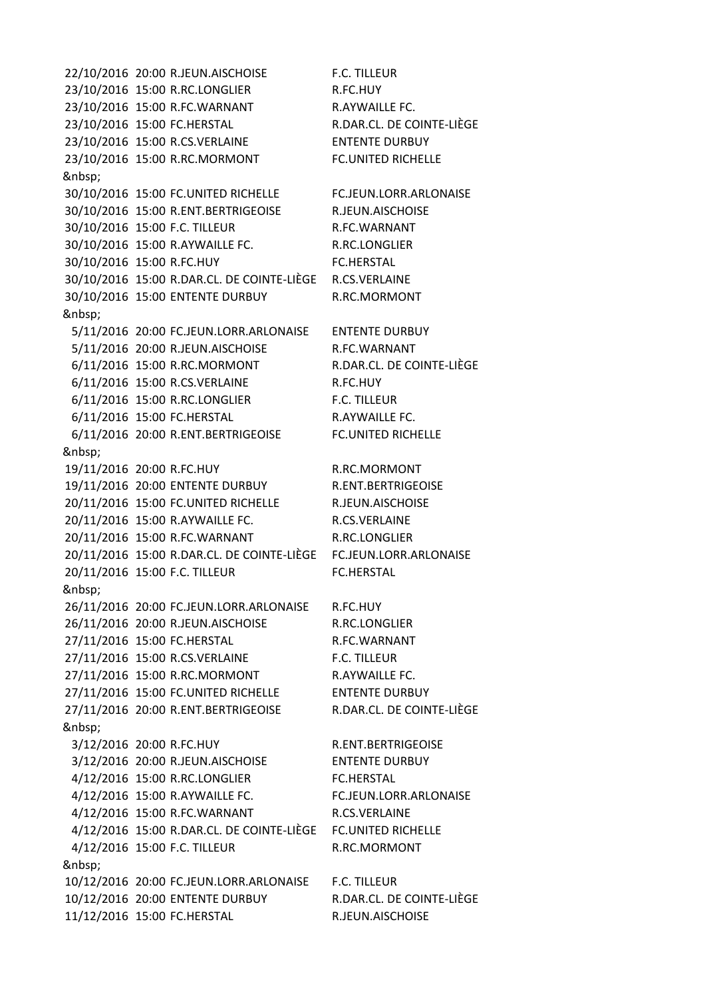22/10/2016 20:00 R.JEUN.AISCHOISE F.C. TILLEUR 23/10/2016 15:00 R.RC.LONGLIER R.FC.HUY 23/10/2016 15:00 R.FC.WARNANT R.AYWAILLE FC. 23/10/2016 15:00 FC.HERSTAL R.DAR.CL. DE COINTE-LIÈGE 23/10/2016 15:00 R.CS.VERLAINE ENTENTE DURBUY 23/10/2016 15:00 R.RC.MORMONT FC.UNITED RICHELLE 30/10/2016 15:00 FC.UNITED RICHELLE FC.JEUN.LORR.ARLONAISE 30/10/2016 15:00 R.ENT.BERTRIGEOISE R.JEUN.AISCHOISE 30/10/2016 15:00 F.C. TILLEUR R.FC.WARNANT 30/10/2016 15:00 R.AYWAILLE FC. R.RC.LONGLIER 30/10/2016 15:00 R.FC.HUY FC.HERSTAL 30/10/2016 15:00 R.DAR.CL. DE COINTE-LIÈGE R.CS.VERLAINE 30/10/2016 15:00 ENTENTE DURBUY R.RC.MORMONT 5/11/2016 20:00 FC.JEUN.LORR.ARLONAISE ENTENTE DURBUY 5/11/2016 20:00 R.JEUN.AISCHOISE R.FC.WARNANT 6/11/2016 15:00 R.RC.MORMONT R.DAR.CL. DE COINTE-LIÈGE 6/11/2016 15:00 R.CS.VERLAINE R.FC.HUY 6/11/2016 15:00 R.RC.LONGLIER F.C. TILLEUR 6/11/2016 15:00 FC.HERSTAL R.AYWAILLE FC. 6/11/2016 20:00 R.ENT.BERTRIGEOISE FC.UNITED RICHELLE 19/11/2016 20:00 R.FC.HUY R.RC.MORMONT 19/11/2016 20:00 ENTENTE DURBUY R.ENT.BERTRIGEOISE 20/11/2016 15:00 FC.UNITED RICHELLE R.JEUN.AISCHOISE 20/11/2016 15:00 R.AYWAILLE FC. R.CS.VERLAINE 20/11/2016 15:00 R.FC.WARNANT R.RC.LONGLIER 20/11/2016 15:00 R.DAR.CL. DE COINTE-LIÈGE FC.JEUN.LORR.ARLONAISE 20/11/2016 15:00 F.C. TILLEUR FC.HERSTAL 26/11/2016 20:00 FC.JEUN.LORR.ARLONAISE R.FC.HUY 26/11/2016 20:00 R.JEUN.AISCHOISE R.RC.LONGLIER 27/11/2016 15:00 FC.HERSTAL R.FC.WARNANT 27/11/2016 15:00 R.CS.VERLAINE F.C. TILLEUR 27/11/2016 15:00 R.RC.MORMONT R.AYWAILLE FC. 27/11/2016 15:00 FC.UNITED RICHELLE ENTENTE DURBUY 27/11/2016 20:00 R.ENT.BERTRIGEOISE R.DAR.CL. DE COINTE-LIÈGE 3/12/2016 20:00 R.FC.HUY R.ENT.BERTRIGEOISE 3/12/2016 20:00 R.JEUN.AISCHOISE ENTENTE DURBUY 4/12/2016 15:00 R.RC.LONGLIER FC.HERSTAL 4/12/2016 15:00 R.AYWAILLE FC. FC.JEUN.LORR.ARLONAISE 4/12/2016 15:00 R.FC.WARNANT R.CS.VERLAINE 4/12/2016 15:00 R.DAR.CL. DE COINTE-LIÈGE FC.UNITED RICHELLE 4/12/2016 15:00 F.C. TILLEUR R.RC.MORMONT &nbsp: 10/12/2016 20:00 FC.JEUN.LORR.ARLONAISE F.C. TILLEUR 10/12/2016 20:00 ENTENTE DURBUY R.DAR.CL. DE COINTE-LIÈGE 11/12/2016 15:00 FC.HERSTAL R.JEUN.AISCHOISE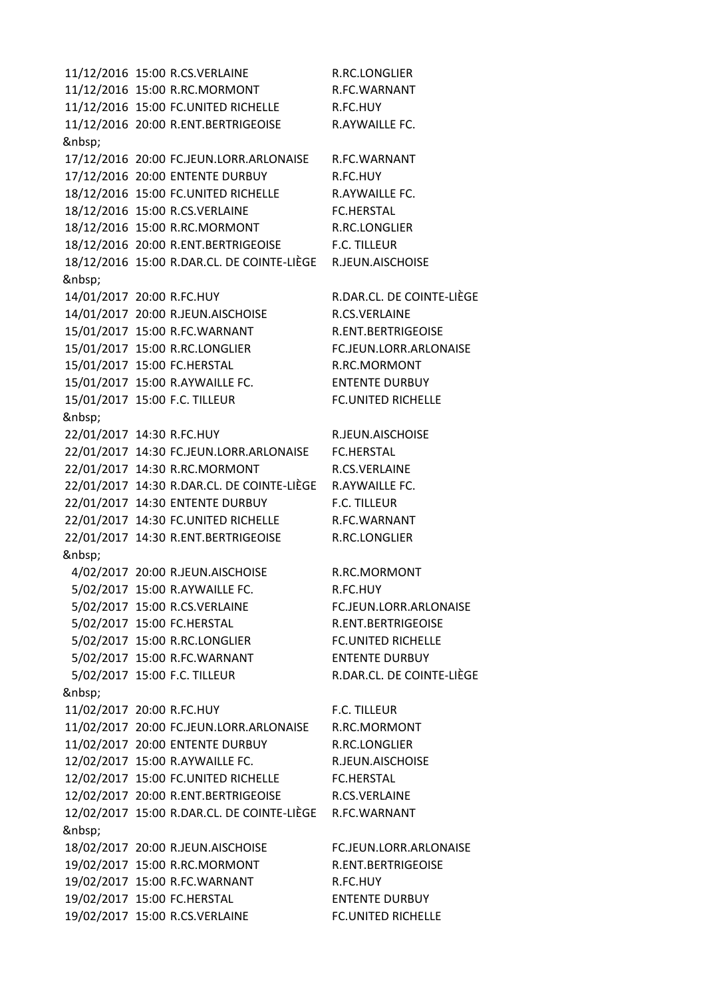11/12/2016 15:00 R.CS.VERLAINE R.RC.LONGLIER 11/12/2016 15:00 R.RC.MORMONT R.FC.WARNANT 11/12/2016 15:00 FC.UNITED RICHELLE R.FC.HUY 11/12/2016 20:00 R.ENT.BERTRIGEOISE R.AYWAILLE FC. 17/12/2016 20:00 FC.JEUN.LORR.ARLONAISE R.FC.WARNANT 17/12/2016 20:00 ENTENTE DURBUY R.FC.HUY 18/12/2016 15:00 FC.UNITED RICHELLE R.AYWAILLE FC. 18/12/2016 15:00 R.CS.VERLAINE FC.HERSTAL 18/12/2016 15:00 R.RC.MORMONT R.RC.LONGLIER 18/12/2016 20:00 R.ENT.BERTRIGEOISE F.C. TILLEUR 18/12/2016 15:00 R.DAR.CL. DE COINTE-LIÈGE R.JEUN.AISCHOISE 14/01/2017 20:00 R.FC.HUY R.DAR.CL. DE COINTE-LIÈGE 14/01/2017 20:00 R.JEUN.AISCHOISE R.CS.VERLAINE 15/01/2017 15:00 R.FC.WARNANT R.ENT.BERTRIGEOISE 15/01/2017 15:00 R.RC.LONGLIER FC.JEUN.LORR.ARLONAISE 15/01/2017 15:00 FC.HERSTAL R.RC.MORMONT 15/01/2017 15:00 R.AYWAILLE FC. ENTENTE DURBUY 15/01/2017 15:00 F.C. TILLEUR FC.UNITED RICHELLE 22/01/2017 14:30 R.FC.HUY R.JEUN.AISCHOISE 22/01/2017 14:30 FC.JEUN.LORR.ARLONAISE FC.HERSTAL 22/01/2017 14:30 R.RC.MORMONT R.CS.VERLAINE 22/01/2017 14:30 R.DAR.CL. DE COINTE-LIÈGE R.AYWAILLE FC. 22/01/2017 14:30 ENTENTE DURBUY F.C. TILLEUR 22/01/2017 14:30 FC.UNITED RICHELLE R.FC.WARNANT 22/01/2017 14:30 R.ENT.BERTRIGEOISE R.RC.LONGLIER 4/02/2017 20:00 R.JEUN.AISCHOISE R.RC.MORMONT 5/02/2017 15:00 R.AYWAILLE FC. R.FC.HUY 5/02/2017 15:00 R.CS.VERLAINE FC.JEUN.LORR.ARLONAISE 5/02/2017 15:00 FC.HERSTAL R.ENT.BERTRIGEOISE 5/02/2017 15:00 R.RC.LONGLIER FC.UNITED RICHELLE 5/02/2017 15:00 R.FC.WARNANT ENTENTE DURBUY 5/02/2017 15:00 F.C. TILLEUR R.DAR.CL. DE COINTE-LIÈGE 11/02/2017 20:00 R.FC.HUY F.C. TILLEUR 11/02/2017 20:00 FC.JEUN.LORR.ARLONAISE R.RC.MORMONT 11/02/2017 20:00 ENTENTE DURBUY R.RC.LONGLIER 12/02/2017 15:00 R.AYWAILLE FC. R.JEUN.AISCHOISE 12/02/2017 15:00 FC.UNITED RICHELLE FC.HERSTAL 12/02/2017 20:00 R.ENT.BERTRIGEOISE R.CS.VERLAINE 12/02/2017 15:00 R.DAR.CL. DE COINTE-LIÈGE R.FC.WARNANT 18/02/2017 20:00 R.JEUN.AISCHOISE FC.JEUN.LORR.ARLONAISE 19/02/2017 15:00 R.RC.MORMONT R.ENT.BERTRIGEOISE 19/02/2017 15:00 R.FC.WARNANT R.FC.HUY 19/02/2017 15:00 FC.HERSTAL ENTENTE DURBUY 19/02/2017 15:00 R.CS.VERLAINE FC.UNITED RICHELLE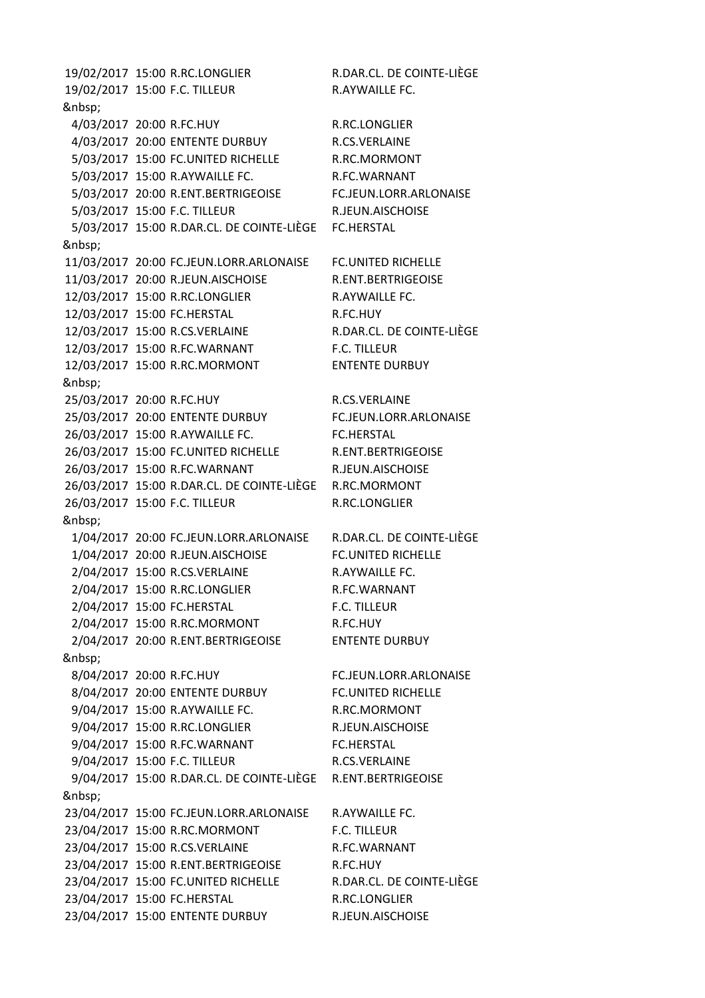19/02/2017 15:00 R.RC.LONGLIER R.DAR.CL. DE COINTE-LIÈGE 19/02/2017 15:00 F.C. TILLEUR R.AYWAILLE FC. 4/03/2017 20:00 R.FC.HUY R.RC.LONGLIER 4/03/2017 20:00 ENTENTE DURBUY R.CS.VERLAINE 5/03/2017 15:00 FC.UNITED RICHELLE R.RC.MORMONT 5/03/2017 15:00 R.AYWAILLE FC. R.FC.WARNANT 5/03/2017 20:00 R.ENT.BERTRIGEOISE FC.JEUN.LORR.ARLONAISE 5/03/2017 15:00 F.C. TILLEUR R.JEUN.AISCHOISE 5/03/2017 15:00 R.DAR.CL. DE COINTE-LIÈGE FC.HERSTAL 11/03/2017 20:00 FC.JEUN.LORR.ARLONAISE FC.UNITED RICHELLE 11/03/2017 20:00 R.JEUN.AISCHOISE R.ENT.BERTRIGEOISE 12/03/2017 15:00 R.RC.LONGLIER R.AYWAILLE FC. 12/03/2017 15:00 FC.HERSTAL R.FC.HUY 12/03/2017 15:00 R.CS.VERLAINE R.DAR.CL. DE COINTE-LIÈGE 12/03/2017 15:00 R.FC.WARNANT F.C. TILLEUR 12/03/2017 15:00 R.RC.MORMONT ENTENTE DURBUY 25/03/2017 20:00 R.FC.HUY R.CS.VERLAINE 25/03/2017 20:00 ENTENTE DURBUY FC.JEUN.LORR.ARLONAISE 26/03/2017 15:00 R.AYWAILLE FC. FC.HERSTAL 26/03/2017 15:00 FC.UNITED RICHELLE R.ENT.BERTRIGEOISE 26/03/2017 15:00 R.FC.WARNANT R.JEUN.AISCHOISE 26/03/2017 15:00 R.DAR.CL. DE COINTE-LIÈGE R.RC.MORMONT 26/03/2017 15:00 F.C. TILLEUR R.RC.LONGLIER 1/04/2017 20:00 FC.JEUN.LORR.ARLONAISE R.DAR.CL. DE COINTE-LIÈGE 1/04/2017 20:00 R.JEUN.AISCHOISE FC.UNITED RICHELLE 2/04/2017 15:00 R.CS.VERLAINE R.AYWAILLE FC. 2/04/2017 15:00 R.RC.LONGLIER R.FC.WARNANT 2/04/2017 15:00 FC.HERSTAL F.C. TILLEUR 2/04/2017 15:00 R.RC.MORMONT R.FC.HUY 2/04/2017 20:00 R.ENT.BERTRIGEOISE ENTENTE DURBUY 8/04/2017 20:00 R.FC.HUY FC.JEUN.LORR.ARLONAISE 8/04/2017 20:00 ENTENTE DURBUY FC.UNITED RICHELLE 9/04/2017 15:00 R.AYWAILLE FC. R.RC.MORMONT 9/04/2017 15:00 R.RC.LONGLIER R.JEUN.AISCHOISE 9/04/2017 15:00 R.FC.WARNANT FC.HERSTAL 9/04/2017 15:00 F.C. TILLEUR R.CS.VERLAINE 9/04/2017 15:00 R.DAR.CL. DE COINTE-LIÈGE R.ENT.BERTRIGEOISE 23/04/2017 15:00 FC.JEUN.LORR.ARLONAISE R.AYWAILLE FC. 23/04/2017 15:00 R.RC.MORMONT F.C. TILLEUR 23/04/2017 15:00 R.CS.VERLAINE R.FC.WARNANT 23/04/2017 15:00 R.ENT.BERTRIGEOISE R.FC.HUY 23/04/2017 15:00 FC.UNITED RICHELLE R.DAR.CL. DE COINTE-LIÈGE 23/04/2017 15:00 FC.HERSTAL R.RC.LONGLIER 23/04/2017 15:00 ENTENTE DURBUY R.JEUN.AISCHOISE